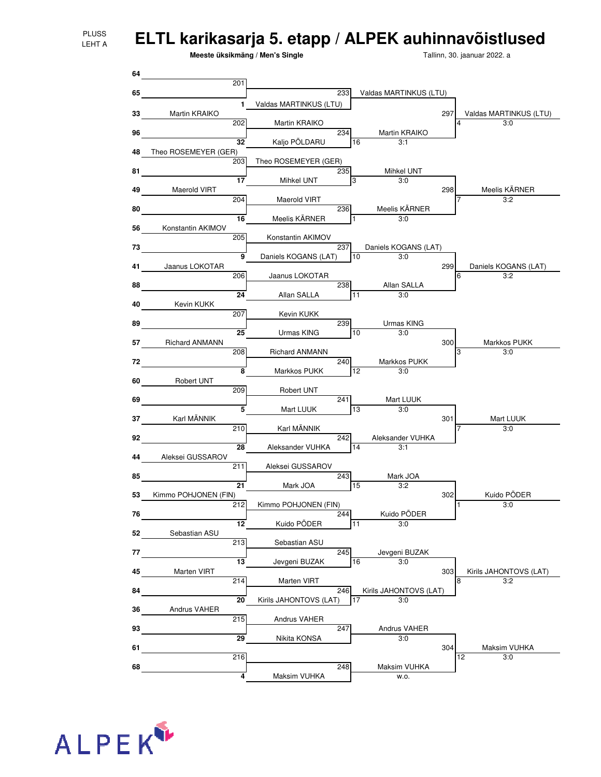## **ELTL karikasarja 5. etapp / ALPEK auhinnavõistlused**

**Meeste üksikmäng / Men's Single**

Tallinn, 30. jaanuar 2022. a



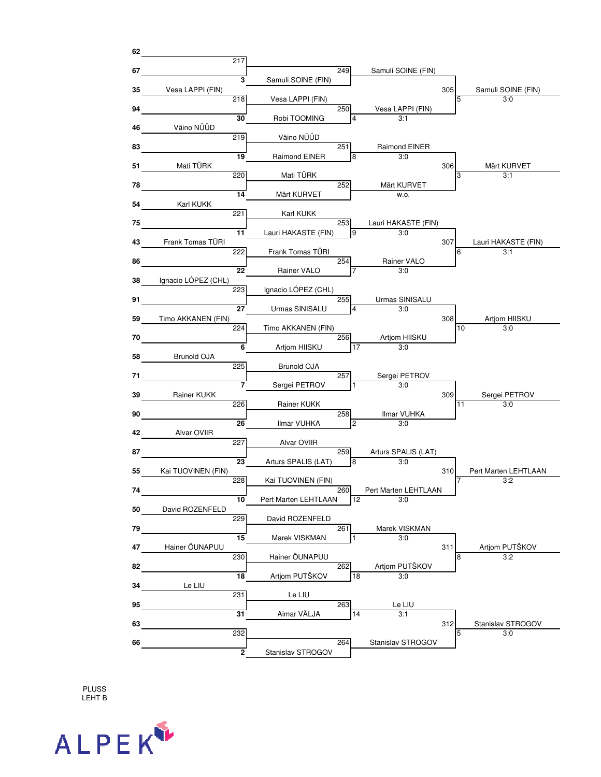

PLUSS LEHT B

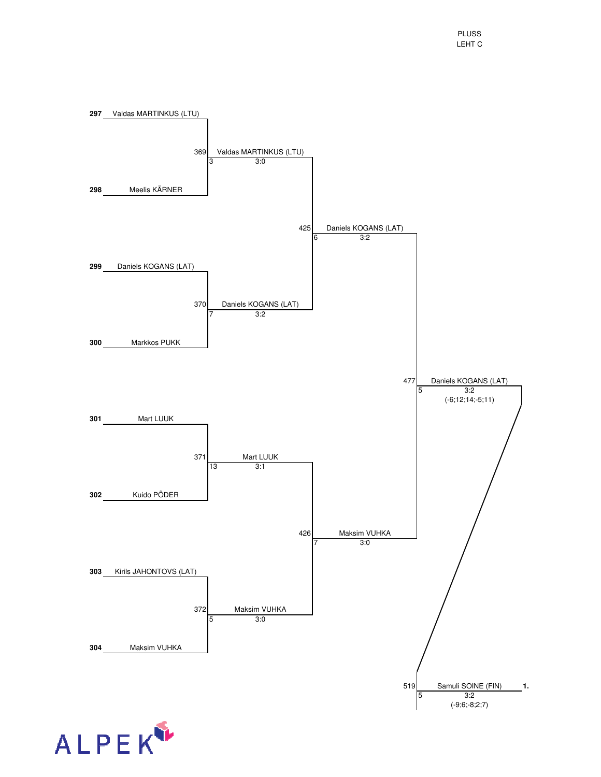

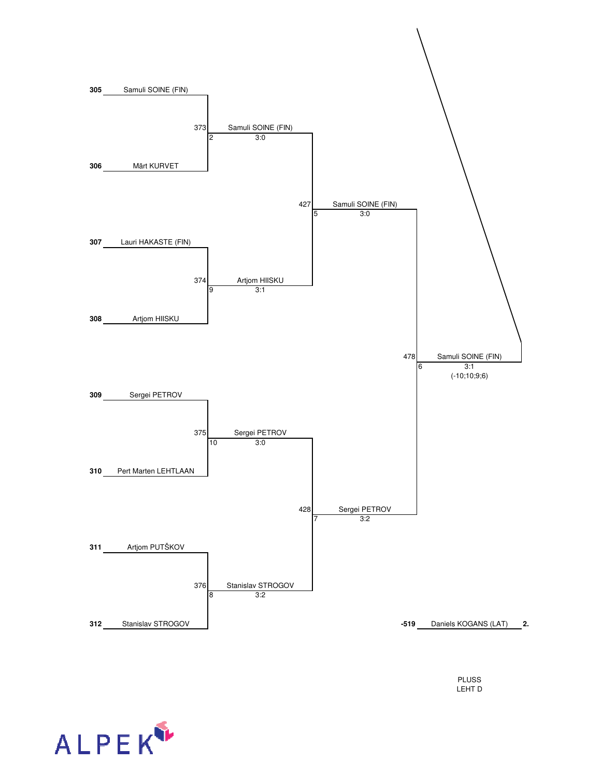

PLUSS LEHT D

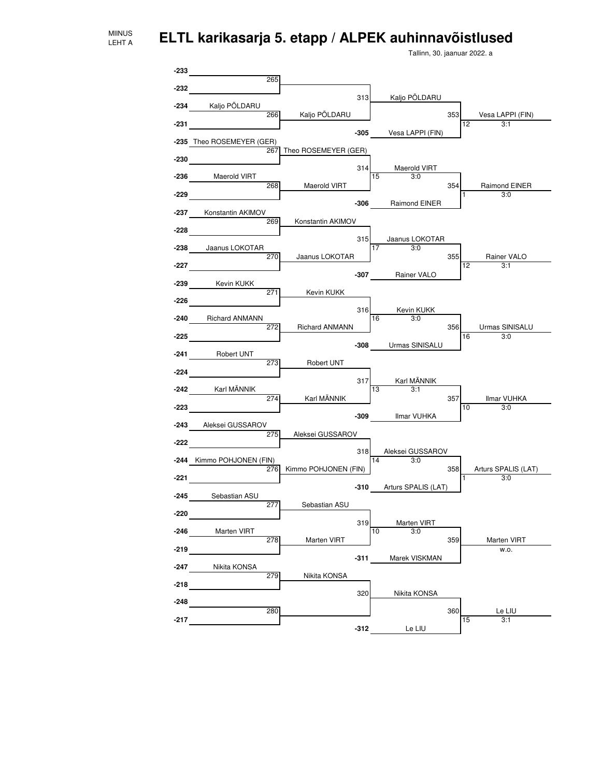MIINUS LEHT A

**ELTL karikasarja 5. etapp / ALPEK auhinnavõistlused**

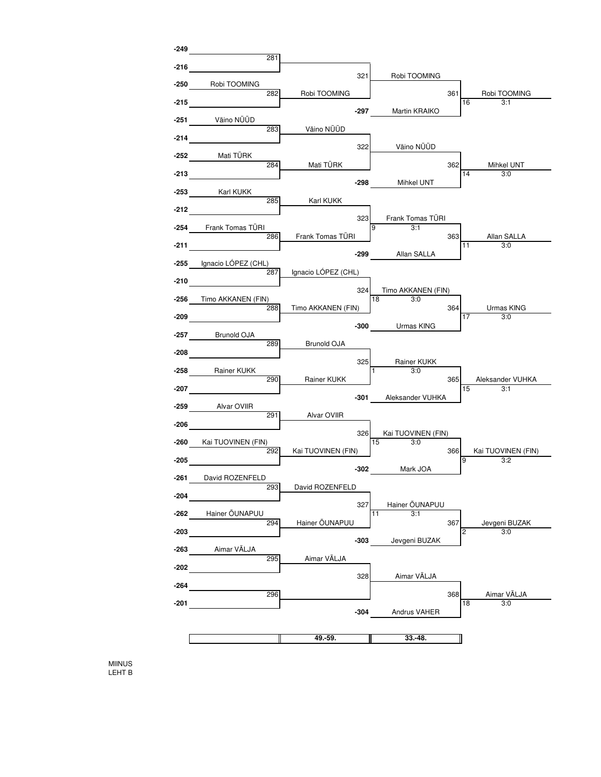

MIINUS LEHT B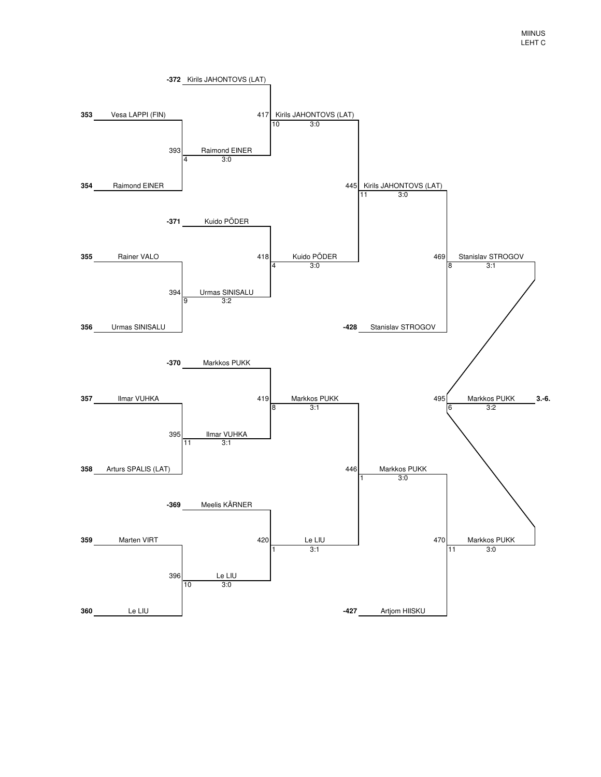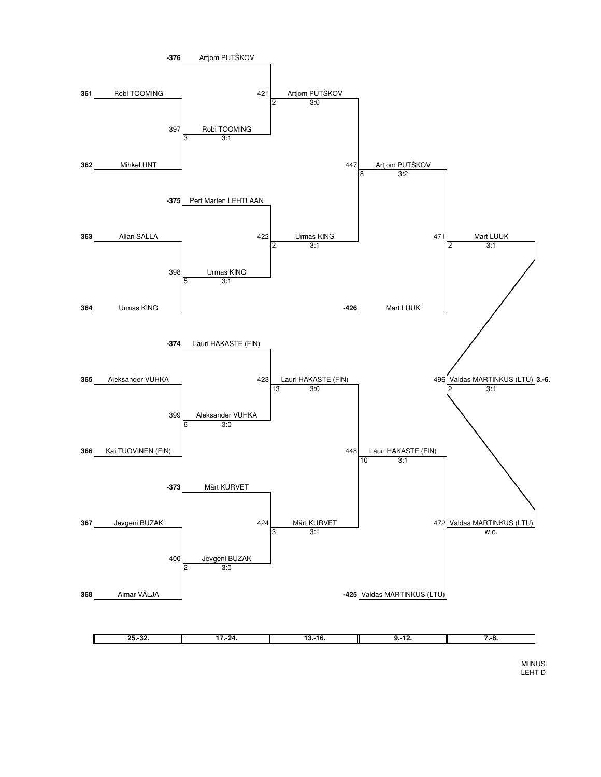

MIINUS LEHT D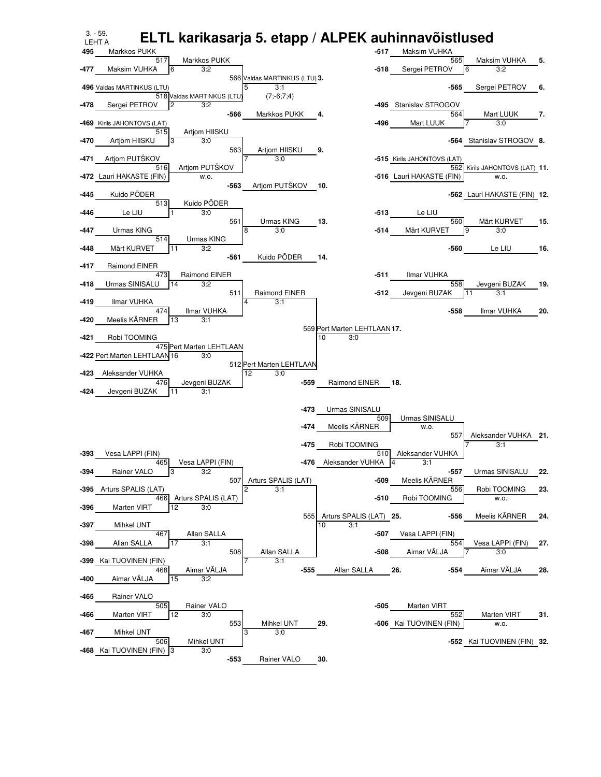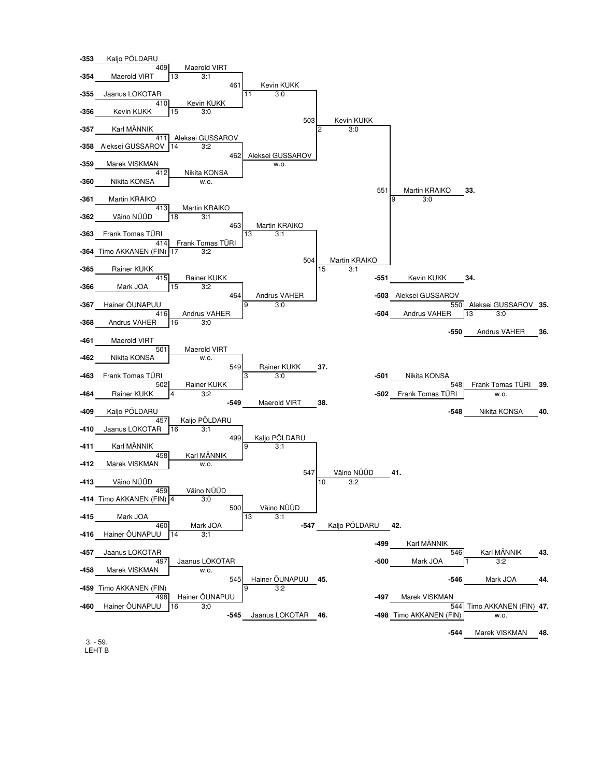

3. - 59. LEHT B